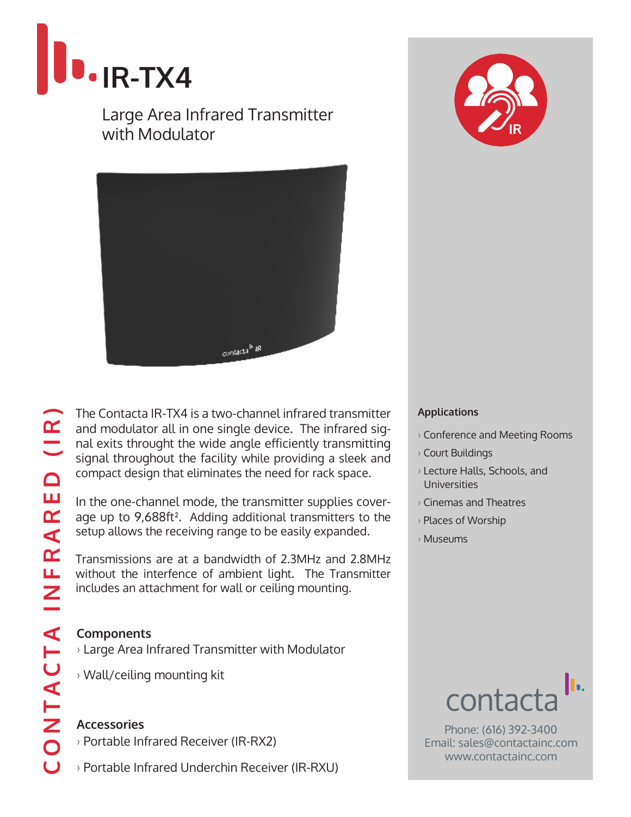

Large Area Infrared Transmitter with Modulator



CONTACTA INFRARED (IR)  $\begin{array}{c} \n\bullet \text{ } \mathbb{R} \n\end{array}$  $\Box$ INFRARE T A ONTAC

The Contacta IR-TX4 is a two-channel infrared transmitter and modulator all in one single device. The infrared signal exits throught the wide angle efficiently transmitting signal throughout the facility while providing a sleek and compact design that eliminates the need for rack space.

In the one-channel mode, the transmitter supplies coverage up to 9,688ft². Adding additional transmitters to the setup allows the receiving range to be easily expanded.

Transmissions are at a bandwidth of 2.3MHz and 2.8MHz without the interfence of ambient light. The Transmitter includes an attachment for wall or ceiling mounting.

### **Components**

- › Large Area Infrared Transmitter with Modulator
- › Wall/ceiling mounting kit

## **Accessories**

- › Portable Infrared Receiver (IR-RX2)
- › Portable Infrared Underchin Receiver (IR-RXU)



#### **Applications**

- › Conference and Meeting Rooms
- › Court Buildings
- › Lecture Halls, Schools, and Universities
- › Cinemas and Theatres
- › Places of Worship
- › Museums



Phone: (616) 392-3400 Email: sales@contactainc.com www.contactainc.com